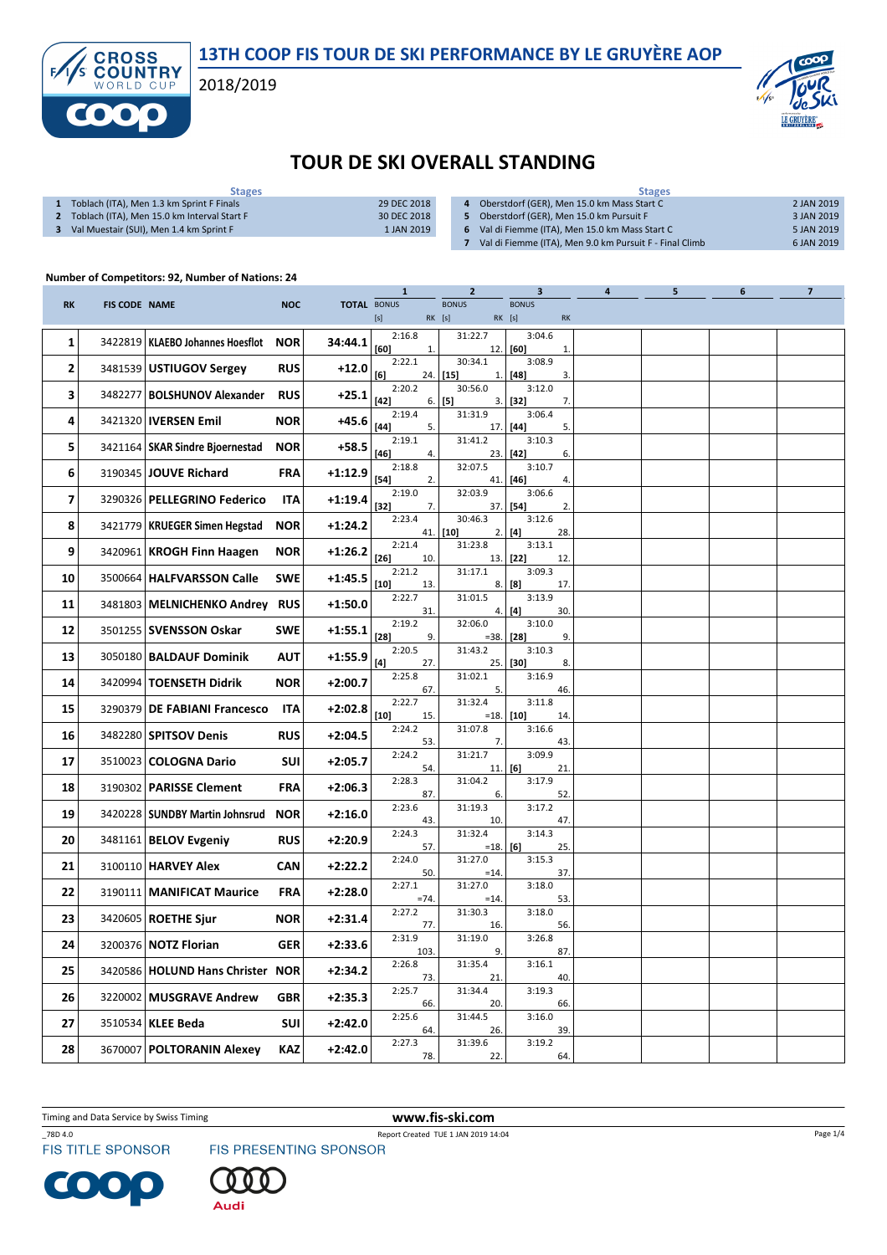13TH COOP FIS TOUR DE SKI PERFORMANCE BY LE GRUYÈRE AOP

2018/2019



## TOUR DE SKI OVERALL STANDING

| <b>Stages</b>                               |             | <b>Stages</b>                                           |            |  |  |  |  |
|---------------------------------------------|-------------|---------------------------------------------------------|------------|--|--|--|--|
| Toblach (ITA), Men 1.3 km Sprint F Finals   | 29 DEC 2018 | Oberstdorf (GER), Men 15.0 km Mass Start C              | 2 JAN 2019 |  |  |  |  |
| Toblach (ITA), Men 15.0 km Interval Start F | 30 DEC 2018 | Oberstdorf (GER), Men 15.0 km Pursuit F                 | 3 JAN 2019 |  |  |  |  |
| Val Muestair (SUI), Men 1.4 km Sprint F     | 1 JAN 2019  | Val di Fiemme (ITA), Men 15.0 km Mass Start C           | 5 JAN 2019 |  |  |  |  |
|                                             |             | Val di Fiemme (ITA), Men 9.0 km Pursuit F - Final Climb | 6 JAN 2019 |  |  |  |  |
|                                             |             |                                                         |            |  |  |  |  |

## Number of Competitors: 92, Number of Nations: 24

**CROSS<br>COUNTRY** 

f

|           |                      |                                    |            |                    | 1                                                                                                                                                                                                                                                                                                                                                                                                                                                                                                                                                                                                                                                                  | 2                         | 3                                                                                                                                                                                                                                                                                                                                                                                                       | 4 | 5 | 6 | 7 |
|-----------|----------------------|------------------------------------|------------|--------------------|--------------------------------------------------------------------------------------------------------------------------------------------------------------------------------------------------------------------------------------------------------------------------------------------------------------------------------------------------------------------------------------------------------------------------------------------------------------------------------------------------------------------------------------------------------------------------------------------------------------------------------------------------------------------|---------------------------|---------------------------------------------------------------------------------------------------------------------------------------------------------------------------------------------------------------------------------------------------------------------------------------------------------------------------------------------------------------------------------------------------------|---|---|---|---|
| <b>RK</b> | <b>FIS CODE NAME</b> |                                    | <b>NOC</b> | <b>TOTAL BONUS</b> | $[s] % \begin{center} % \includegraphics[width=\linewidth]{imagesSupplemental_3.png} % \end{center} % \caption { % \textit{DefNet} of the \textit{DefNet} dataset. % Note that the \textit{DefNet} and \textit{DefNet} dataset. % Note that the \textit{DefNet} and \textit{DefNet} dataset. % Note that the \textit{DefNet} and \textit{DefNet} dataset. % Note that the \textit{DefNet} and \textit{DefNet} dataset. % Note that the \textit{DefNet} and \textit{DefNet} dataset. % Note that the \textit{DefNet} and \textit{DefNet} dataset. % Note that the \textit{DefNet} and \textit{DefNet} dataset. % Note that the \textit{DefNet} and \textit{DefNet}$ | <b>BONUS</b><br>RK [s]    | <b>BONUS</b><br>$RK$ [s]<br>$\mathsf{RK}$                                                                                                                                                                                                                                                                                                                                                               |   |   |   |   |
| 1         | 3422819              | KLAEBO Johannes Hoesflot           | <b>NOR</b> | 34:44.1            | 2:16.8<br>[60]<br>1.                                                                                                                                                                                                                                                                                                                                                                                                                                                                                                                                                                                                                                               | 31:22.7<br>12.            | 3:04.6<br>[60]<br>1.                                                                                                                                                                                                                                                                                                                                                                                    |   |   |   |   |
| 2         |                      | 3481539 USTIUGOV Sergey            | <b>RUS</b> | $+12.0$            | 2:22.1<br>[6]<br>24.1                                                                                                                                                                                                                                                                                                                                                                                                                                                                                                                                                                                                                                              | 30:34.1<br>$[15]$<br>1.   | 3:08.9<br>$[48]$<br>3.                                                                                                                                                                                                                                                                                                                                                                                  |   |   |   |   |
| З         |                      | 3482277   BOLSHUNOV Alexander      | <b>RUS</b> | $+25.1$            | 2:20.2<br>$[42]$                                                                                                                                                                                                                                                                                                                                                                                                                                                                                                                                                                                                                                                   | 30:56.0<br>$6.$ [5]<br>3. | 3:12.0<br>$[32]$<br>7.                                                                                                                                                                                                                                                                                                                                                                                  |   |   |   |   |
| 4         |                      | 3421320   IVERSEN Emil             | <b>NOR</b> | $+45.6$            | 2:19.4<br>$[44]$<br>5.                                                                                                                                                                                                                                                                                                                                                                                                                                                                                                                                                                                                                                             | 31:31.9<br>17.            | 3:06.4<br>$[44] \centering% \includegraphics[width=1\textwidth]{images/TransY.pdf}% \caption{The figure shows the results of the estimators in the left hand side. The figure shows the results of the estimators in the right hand side. The figure shows the results of the estimators in the right hand side. The figure shows the results of the parameters in the right.} \label{fig:class}$<br>5. |   |   |   |   |
| 5         |                      | 3421164   SKAR Sindre Bjoernestad  | <b>NOR</b> | +58.5              | 2:19.1<br>$[46]$<br>4.                                                                                                                                                                                                                                                                                                                                                                                                                                                                                                                                                                                                                                             | 31:41.2<br>23.            | 3:10.3<br>$[42]$<br>6.                                                                                                                                                                                                                                                                                                                                                                                  |   |   |   |   |
| 6         |                      | 3190345 JOUVE Richard              | <b>FRA</b> | +1:12.9            | 2:18.8<br>$[54]$                                                                                                                                                                                                                                                                                                                                                                                                                                                                                                                                                                                                                                                   | 32:07.5                   | 3:10.7<br>$[46]$<br>4.                                                                                                                                                                                                                                                                                                                                                                                  |   |   |   |   |
| 7         |                      | 3290326   PELLEGRINO Federico      | <b>ITA</b> | $+1:19.4$          | 2.<br>2:19.0                                                                                                                                                                                                                                                                                                                                                                                                                                                                                                                                                                                                                                                       | 41.<br>32:03.9            | 3:06.6                                                                                                                                                                                                                                                                                                                                                                                                  |   |   |   |   |
| 8         |                      | 3421779   KRUEGER Simen Hegstad    | <b>NOR</b> | $+1:24.2$          | $[32]$<br>7.<br>2:23.4                                                                                                                                                                                                                                                                                                                                                                                                                                                                                                                                                                                                                                             | 37.<br>30:46.3            | [54]<br>2.<br>3:12.6                                                                                                                                                                                                                                                                                                                                                                                    |   |   |   |   |
| 9         |                      | 3420961   KROGH Finn Haagen        | <b>NOR</b> | +1:26.2            | 2:21.4                                                                                                                                                                                                                                                                                                                                                                                                                                                                                                                                                                                                                                                             | 41. [10]<br>2.<br>31:23.8 | $[4]$<br>28.<br>3:13.1                                                                                                                                                                                                                                                                                                                                                                                  |   |   |   |   |
| 10        |                      | 3500664   HALFVARSSON Calle        | <b>SWE</b> | $+1:45.5$          | $[26]$<br>10.<br>2:21.2                                                                                                                                                                                                                                                                                                                                                                                                                                                                                                                                                                                                                                            | 13.<br>31:17.1            | $[22]$<br>12.<br>3:09.3                                                                                                                                                                                                                                                                                                                                                                                 |   |   |   |   |
| 11        | 3481803              | <b>MELNICHENKO Andrey RUS</b>      |            | $+1:50.0$          | $[10]$<br>13.<br>2:22.7                                                                                                                                                                                                                                                                                                                                                                                                                                                                                                                                                                                                                                            | 8.<br>31:01.5             | [8]<br>17.<br>3:13.9                                                                                                                                                                                                                                                                                                                                                                                    |   |   |   |   |
| 12        |                      | 3501255   SVENSSON Oskar           | <b>SWE</b> | $+1:55.1$          | 31.<br>2:19.2                                                                                                                                                                                                                                                                                                                                                                                                                                                                                                                                                                                                                                                      | 4.<br>32:06.0             | $[4]$<br>30.<br>3:10.0                                                                                                                                                                                                                                                                                                                                                                                  |   |   |   |   |
| 13        | 3050180              | <b>BALDAUF Dominik</b>             | <b>AUT</b> | $+1:55.9$          | $[28]$<br>9.<br>2:20.5                                                                                                                                                                                                                                                                                                                                                                                                                                                                                                                                                                                                                                             | =38.<br>31:43.2           | $[28]$<br>9.<br>3:10.3                                                                                                                                                                                                                                                                                                                                                                                  |   |   |   |   |
| 14        |                      | 3420994   TOENSETH Didrik          | <b>NOR</b> | $+2:00.7$          | $[4]$<br>27.<br>2:25.8                                                                                                                                                                                                                                                                                                                                                                                                                                                                                                                                                                                                                                             | 25.<br>31:02.1            | $[30]$<br>8.<br>3:16.9                                                                                                                                                                                                                                                                                                                                                                                  |   |   |   |   |
| 15        | 3290379              | <b>DE FABIANI Francesco</b>        | ITA        | $+2:02.8$          | 67.<br>2:22.7                                                                                                                                                                                                                                                                                                                                                                                                                                                                                                                                                                                                                                                      | 5.<br>31:32.4             | 46.<br>3:11.8                                                                                                                                                                                                                                                                                                                                                                                           |   |   |   |   |
| 16        |                      | 3482280   SPITSOV Denis            | <b>RUS</b> | +2:04.5            | $[10]$<br>15.<br>2:24.2                                                                                                                                                                                                                                                                                                                                                                                                                                                                                                                                                                                                                                            | $=18.$<br>31:07.8         | $[10]$<br>14.<br>3:16.6                                                                                                                                                                                                                                                                                                                                                                                 |   |   |   |   |
| 17        |                      | 3510023 COLOGNA Dario              | <b>SUI</b> | $+2:05.7$          | 53.<br>2:24.2                                                                                                                                                                                                                                                                                                                                                                                                                                                                                                                                                                                                                                                      | 7.<br>31:21.7             | 43.<br>3:09.9                                                                                                                                                                                                                                                                                                                                                                                           |   |   |   |   |
| 18        |                      | 3190302   PARISSE Clement          | <b>FRA</b> | +2:06.3            | 54.<br>2:28.3                                                                                                                                                                                                                                                                                                                                                                                                                                                                                                                                                                                                                                                      | 11.<br>31:04.2            | [6]<br>21.<br>3:17.9                                                                                                                                                                                                                                                                                                                                                                                    |   |   |   |   |
|           |                      |                                    |            |                    | 87.<br>2:23.6                                                                                                                                                                                                                                                                                                                                                                                                                                                                                                                                                                                                                                                      | 6.<br>31:19.3             | 52.<br>3:17.2                                                                                                                                                                                                                                                                                                                                                                                           |   |   |   |   |
| 19        |                      | 3420228   SUNDBY Martin Johnsrud   | <b>NOR</b> | $+2:16.0$          | 43.<br>2:24.3                                                                                                                                                                                                                                                                                                                                                                                                                                                                                                                                                                                                                                                      | 10.<br>31:32.4            | 47.<br>3:14.3                                                                                                                                                                                                                                                                                                                                                                                           |   |   |   |   |
| 20        |                      | 3481161   <b>BELOV Evgeniy</b>     | <b>RUS</b> | +2:20.9            | 57.<br>2:24.0                                                                                                                                                                                                                                                                                                                                                                                                                                                                                                                                                                                                                                                      | $=18.$<br>31:27.0         | [6]<br>25.<br>3:15.3                                                                                                                                                                                                                                                                                                                                                                                    |   |   |   |   |
| 21        |                      | 3100110   HARVEY Alex              | CAN        | +2:22.2            | 50.<br>2:27.1                                                                                                                                                                                                                                                                                                                                                                                                                                                                                                                                                                                                                                                      | $=14.$<br>31:27.0         | 37.<br>3:18.0                                                                                                                                                                                                                                                                                                                                                                                           |   |   |   |   |
| 22        |                      | 3190111   MANIFICAT Maurice        | <b>FRA</b> | +2:28.0            | $=74.$<br>2:27.2                                                                                                                                                                                                                                                                                                                                                                                                                                                                                                                                                                                                                                                   | $=14.$<br>31:30.3         | 53.<br>3:18.0                                                                                                                                                                                                                                                                                                                                                                                           |   |   |   |   |
| 23        |                      | 3420605   ROETHE Sjur              | <b>NOR</b> | +2:31.4            | 77.<br>2:31.9                                                                                                                                                                                                                                                                                                                                                                                                                                                                                                                                                                                                                                                      | 16.<br>31:19.0            | 56.<br>3:26.8                                                                                                                                                                                                                                                                                                                                                                                           |   |   |   |   |
| 24        |                      | 3200376 NOTZ Florian               | <b>GER</b> | +2:33.6            | 103.<br>2:26.8                                                                                                                                                                                                                                                                                                                                                                                                                                                                                                                                                                                                                                                     | 9.<br>31:35.4             | 87.<br>3:16.1                                                                                                                                                                                                                                                                                                                                                                                           |   |   |   |   |
| 25        |                      | 3420586   HOLUND Hans Christer NOR |            | $+2:34.2$          | 73.<br>2:25.7                                                                                                                                                                                                                                                                                                                                                                                                                                                                                                                                                                                                                                                      | 21.<br>31:34.4            | 40.<br>3:19.3                                                                                                                                                                                                                                                                                                                                                                                           |   |   |   |   |
| 26        | 3220002              | <b>MUSGRAVE Andrew</b>             | <b>GBR</b> | $+2:35.3$          | 66.                                                                                                                                                                                                                                                                                                                                                                                                                                                                                                                                                                                                                                                                | 20.                       | 66.                                                                                                                                                                                                                                                                                                                                                                                                     |   |   |   |   |
| 27        |                      | 3510534   KLEE Beda                | <b>SUI</b> | $+2:42.0$          | 2:25.6<br>64.                                                                                                                                                                                                                                                                                                                                                                                                                                                                                                                                                                                                                                                      | 31:44.5<br>26.            | 3:16.0<br>39.                                                                                                                                                                                                                                                                                                                                                                                           |   |   |   |   |
| 28        | 3670007              | <b>POLTORANIN Alexey</b>           | KAZ        | $+2:42.0$          | 2:27.3<br>78.                                                                                                                                                                                                                                                                                                                                                                                                                                                                                                                                                                                                                                                      | 31:39.6<br>22.            | 3:19.2<br>64.                                                                                                                                                                                                                                                                                                                                                                                           |   |   |   |   |

Timing and Data Service by Swiss Timing WWW.fis-ski.com

\_78D 4.0 Report Created TUE 1 JAN 2019 14:04

 $\blacksquare$  $\bullet$ 



Page 1/4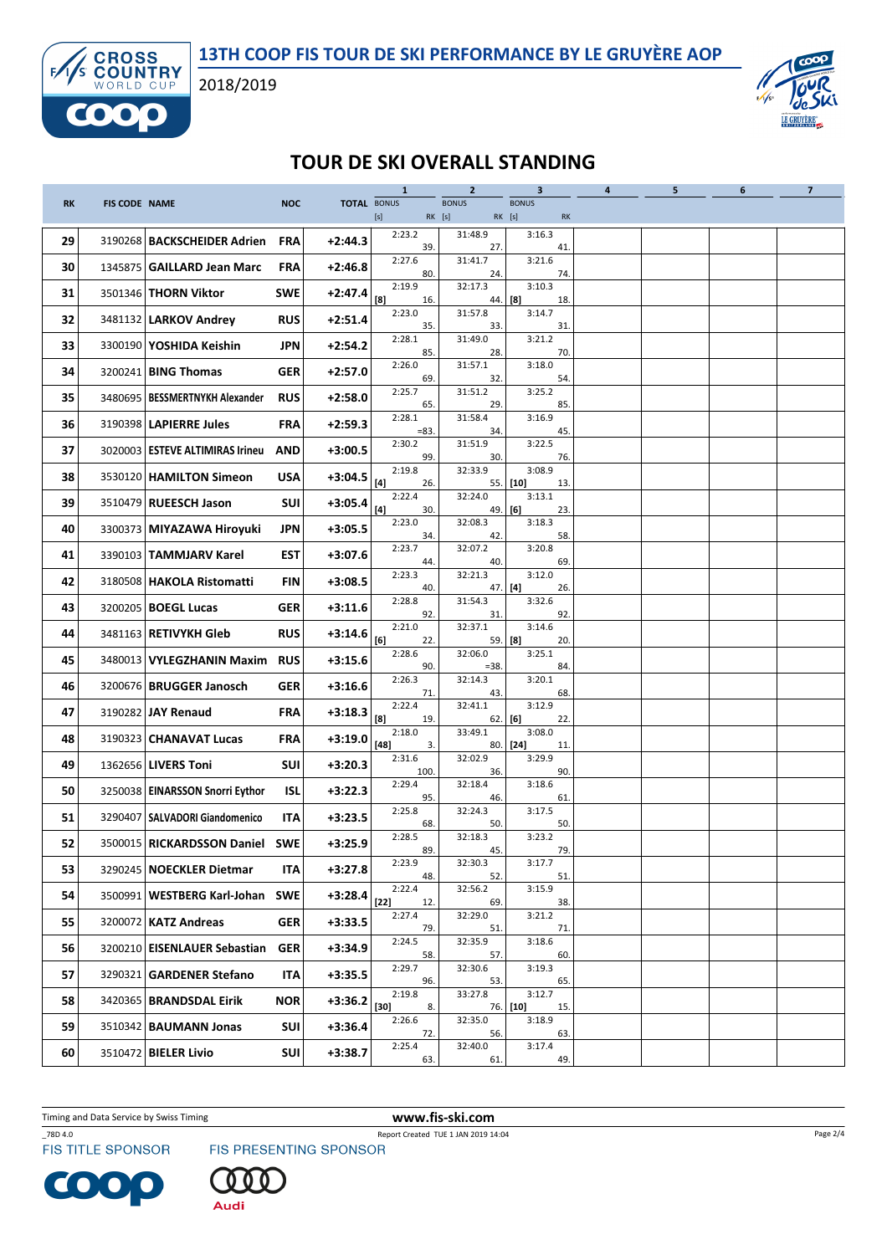



## TOUR DE SKI OVERALL STANDING

|           |                      |                                   |            |                    | $\mathbf{1}$            | $\overline{2}$         | $\overline{\mathbf{3}}$                 | $\overline{\mathbf{a}}$ | 5 | 6 | $\overline{7}$ |
|-----------|----------------------|-----------------------------------|------------|--------------------|-------------------------|------------------------|-----------------------------------------|-------------------------|---|---|----------------|
| <b>RK</b> | <b>FIS CODE NAME</b> |                                   | <b>NOC</b> | <b>TOTAL BONUS</b> |                         | <b>BONUS</b><br>RK [s] | <b>BONUS</b><br>RK [s]<br>$\mathsf{RK}$ |                         |   |   |                |
| 29        |                      | 3190268   BACKSCHEIDER Adrien     | <b>FRA</b> | $+2:44.3$          | 2:23.2<br>39            | 31:48.9<br>27.         | 3:16.3<br>41                            |                         |   |   |                |
| 30        |                      | 1345875   GAILLARD Jean Marc      | <b>FRA</b> | $+2:46.8$          | 2:27.6<br>80.           | 31:41.7<br>24.         | 3:21.6<br>74.                           |                         |   |   |                |
| 31        |                      | 3501346   THORN Viktor            | <b>SWE</b> | $+2:47.4$          | 2:19.9<br>[8]<br>16.    | 32:17.3<br>44.         | 3:10.3<br>[8]<br>18.                    |                         |   |   |                |
| 32        |                      | 3481132   LARKOV Andrey           | <b>RUS</b> | $+2:51.4$          | 2:23.0<br>35.           | 31:57.8<br>33.         | 3:14.7<br>31.                           |                         |   |   |                |
| 33        |                      | 3300190 YOSHIDA Keishin           | JPN        | $+2:54.2$          | 2:28.1<br>85.           | 31:49.0<br>28.         | 3:21.2<br>70.                           |                         |   |   |                |
| 34        |                      | 3200241 BING Thomas               | GER        | $+2:57.0$          | 2:26.0<br>69.           | 31:57.1<br>32.         | 3:18.0<br>54.                           |                         |   |   |                |
| 35        |                      | 3480695   BESSMERTNYKH Alexander  | <b>RUS</b> | $+2:58.0$          | 2:25.7<br>65.           | 31:51.2<br>29.         | 3:25.2<br>85.                           |                         |   |   |                |
| 36        |                      | 3190398   LAPIERRE Jules          | <b>FRA</b> | $+2:59.3$          | 2:28.1<br>$= 83.$       | 31:58.4<br>34.         | 3:16.9<br>45.                           |                         |   |   |                |
| 37        |                      | 3020003   ESTEVE ALTIMIRAS Irineu | <b>AND</b> | $+3:00.5$          | 2:30.2<br>99.           | 31:51.9<br>30.         | 3:22.5<br>76.                           |                         |   |   |                |
| 38        |                      | 3530120   HAMILTON Simeon         | <b>USA</b> | $+3:04.5$          | 2:19.8<br>[4]<br>26.    | 32:33.9<br>55.         | 3:08.9<br>[10]<br>13.                   |                         |   |   |                |
| 39        |                      | 3510479   RUEESCH Jason           | <b>SUI</b> | $+3:05.4$          | 2:22.4<br>$[4]$<br>30.  | 32:24.0<br>49.         | 3:13.1<br>[6]<br>23.                    |                         |   |   |                |
| 40        |                      | 3300373   MIYAZAWA Hiroyuki       | JPN        | $+3:05.5$          | 2:23.0<br>34.           | 32:08.3<br>42.         | 3:18.3<br>58.                           |                         |   |   |                |
| 41        |                      | 3390103   TAMMJARV Karel          | <b>EST</b> | $+3:07.6$          | 2:23.7<br>44.           | 32:07.2<br>40.         | 3:20.8<br>69.                           |                         |   |   |                |
| 42        |                      | 3180508   HAKOLA Ristomatti       | <b>FIN</b> | $+3:08.5$          | 2:23.3<br>40.           | 32:21.3<br>47.         | 3:12.0<br>26.<br>[4]                    |                         |   |   |                |
| 43        |                      | 3200205   <b>BOEGL Lucas</b>      | GER        | $+3:11.6$          | 2:28.8<br>92.           | 31:54.3<br>31.         | 3:32.6<br>92.                           |                         |   |   |                |
| 44        |                      | 3481163   RETIVYKH Gleb           | <b>RUS</b> | $+3:14.6$          | 2:21.0<br>[6]<br>22.    | 32:37.1                | 3:14.6<br>59. [8]<br>20.                |                         |   |   |                |
| 45        |                      | 3480013 VYLEGZHANIN Maxim RUS     |            | $+3:15.6$          | 2:28.6<br>90.           | 32:06.0<br>$=38.$      | 3:25.1<br>84.                           |                         |   |   |                |
| 46        | 3200676              | <b>BRUGGER Janosch</b>            | <b>GER</b> | $+3:16.6$          | 2:26.3<br>71.           | 32:14.3<br>43.         | 3:20.1<br>68.                           |                         |   |   |                |
| 47        |                      | 3190282 JAY Renaud                | <b>FRA</b> | $+3:18.3$          | 2:22.4<br>[8]<br>19.    | 32:41.1                | 3:12.9<br>$62.$ [6]<br>22.              |                         |   |   |                |
| 48        |                      | 3190323   CHANAVAT Lucas          | <b>FRA</b> | $+3:19.0$          | 2:18.0<br>$[48]$<br>3.  | 33:49.1                | 3:08.0<br>$80.$ [24]<br>11.             |                         |   |   |                |
| 49        |                      | 1362656 LIVERS Toni               | SUI        | $+3:20.3$          | 2:31.6<br>100.          | 32:02.9<br>36.         | 3:29.9<br>90.                           |                         |   |   |                |
| 50        |                      | 3250038   EINARSSON Snorri Eythor | ISL        | $+3:22.3$          | 2:29.4<br>95.           | 32:18.4<br>46.         | 3:18.6<br>61.                           |                         |   |   |                |
| 51        |                      | 3290407   SALVADORI Giandomenico  | ITA        | $+3:23.5$          | 2:25.8<br>68.           | 32:24.3<br>50.         | 3:17.5<br>50.                           |                         |   |   |                |
| 52        |                      | 3500015 RICKARDSSON Daniel SWE    |            | $+3:25.9$          | 2:28.5<br>89.           | 32:18.3<br>45.         | 3:23.2<br>79.                           |                         |   |   |                |
| 53        |                      | 3290245   NOECKLER Dietmar        | ITA        | $+3:27.8$          | 2:23.9<br>48.           | 32:30.3<br>52.         | 3:17.7<br>51.                           |                         |   |   |                |
| 54        |                      | 3500991 WESTBERG Karl-Johan SWE   |            | $+3:28.4$          | 2:22.4<br>$[22]$<br>12. | 32:56.2<br>69.         | 3:15.9<br>38.                           |                         |   |   |                |
| 55        |                      | 3200072   KATZ Andreas            | <b>GER</b> | $+3:33.5$          | 2:27.4<br>79.           | 32:29.0<br>51.         | 3:21.2<br>71.                           |                         |   |   |                |
| 56        | 3200210              | <b>EISENLAUER Sebastian</b>       | <b>GER</b> | $+3:34.9$          | 2:24.5<br>58.           | 32:35.9<br>57.         | 3:18.6<br>60.                           |                         |   |   |                |
| 57        |                      | 3290321 GARDENER Stefano          | ITA        | $+3:35.5$          | 2:29.7<br>96.           | 32:30.6<br>53.         | 3:19.3<br>65.                           |                         |   |   |                |
| 58        |                      | 3420365   BRANDSDAL Eirik         | <b>NOR</b> | $+3:36.2$          | 2:19.8<br>$[30]$<br>8.  | 33:27.8                | 3:12.7<br>76. [10]<br>15.               |                         |   |   |                |
| 59        |                      | 3510342   BAUMANN Jonas           | SUI        | $+3:36.4$          | 2:26.6<br>72.           | 32:35.0<br>56.         | 3:18.9<br>63.                           |                         |   |   |                |
| 60        |                      | 3510472 BIELER Livio              | SUI        | $+3:38.7$          | 2:25.4<br>63.           | 32:40.0<br>61.         | 3:17.4<br>49.                           |                         |   |   |                |

Timing and Data Service by Swiss Timing WWW.fis-ski.com

\_78D 4.0 Report Created TUE 1 JAN 2019 14:04





Page 2/4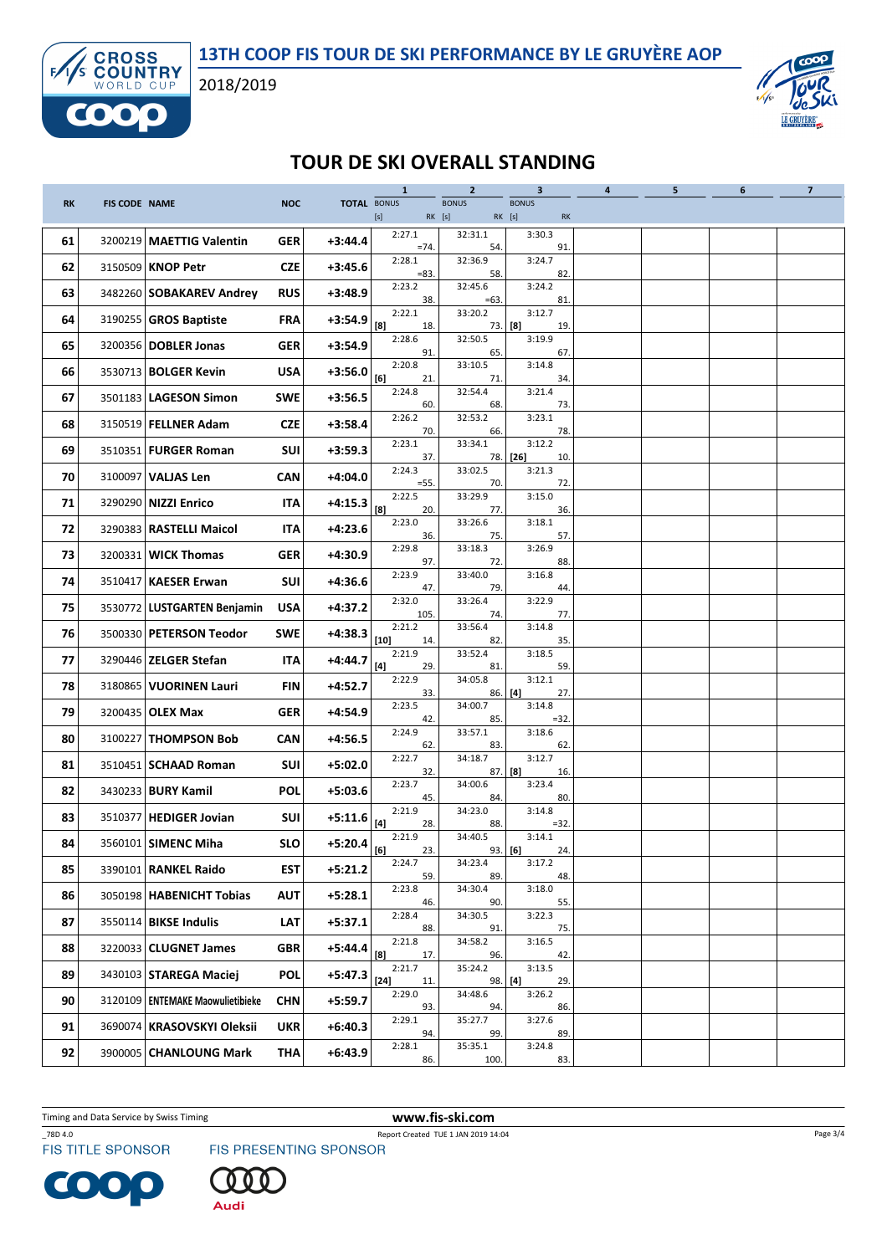



## TOUR DE SKI OVERALL STANDING

|           |                      |                                    |            | <b>TOTAL BONUS</b> | $\mathbf{1}$            | $\overline{2}$<br><b>BONUS</b> | $\mathbf{3}$                 | $\overline{\mathbf{4}}$ | 5 | 6 | $\overline{\mathbf{z}}$ |
|-----------|----------------------|------------------------------------|------------|--------------------|-------------------------|--------------------------------|------------------------------|-------------------------|---|---|-------------------------|
| <b>RK</b> | <b>FIS CODE NAME</b> |                                    | <b>NOC</b> |                    |                         | RK [s]                         | <b>BONUS</b><br>RK [s]<br>RK |                         |   |   |                         |
| 61        |                      | 3200219 MAETTIG Valentin           | <b>GER</b> | $+3:44.4$          | 2:27.1<br>$=74.$        | 32:31.1<br>54.                 | 3:30.3<br>91.                |                         |   |   |                         |
| 62        |                      | 3150509   KNOP Petr                | <b>CZE</b> | $+3:45.6$          | 2:28.1<br>$= 83.$       | 32:36.9<br>58.                 | 3:24.7<br>82.                |                         |   |   |                         |
| 63        |                      | 3482260 SOBAKAREV Andrey           | <b>RUS</b> | $+3:48.9$          | 2:23.2<br>38.           | 32:45.6<br>$=63$               | 3:24.2<br>81.                |                         |   |   |                         |
| 64        |                      | 3190255 GROS Baptiste              | <b>FRA</b> | $+3:54.9$          | 2:22.1<br>[8]<br>18.    | 33:20.2                        | 3:12.7<br>$73.$ [8]<br>19.   |                         |   |   |                         |
| 65        |                      | 3200356 DOBLER Jonas               | <b>GER</b> | $+3:54.9$          | 2:28.6<br>91.           | 32:50.5<br>65.                 | 3:19.9<br>67.                |                         |   |   |                         |
| 66        |                      | 3530713   BOLGER Kevin             | <b>USA</b> | $+3:56.0$          | 2:20.8<br>[6]<br>21.    | 33:10.5<br>71.                 | 3:14.8<br>34.                |                         |   |   |                         |
| 67        |                      | 3501183   LAGESON Simon            | <b>SWE</b> | $+3:56.5$          | 2:24.8<br>60.           | 32:54.4<br>68.                 | 3:21.4<br>73.                |                         |   |   |                         |
| 68        |                      | 3150519   FELLNER Adam             | <b>CZE</b> | $+3:58.4$          | 2:26.2<br>70.           | 32:53.2<br>66.                 | 3:23.1<br>78.                |                         |   |   |                         |
| 69        |                      | 3510351   FURGER Roman             | SUI        | $+3:59.3$          | 2:23.1<br>37.           | 33:34.1<br>78.                 | 3:12.2<br>[26]<br>10.        |                         |   |   |                         |
| 70        |                      | 3100097   VALJAS Len               | <b>CAN</b> | $+4:04.0$          | 2:24.3<br>$=55.$        | 33:02.5<br>70.                 | 3:21.3<br>72.                |                         |   |   |                         |
| 71        |                      | 3290290 NIZZI Enrico               | <b>ITA</b> | $+4:15.3$          | 2:22.5<br>[8]<br>20.    | 33:29.9<br>77.                 | 3:15.0<br>36.                |                         |   |   |                         |
| 72        |                      | 3290383   RASTELLI Maicol          | <b>ITA</b> | $+4:23.6$          | 2:23.0<br>36.           | 33:26.6<br>75.                 | 3:18.1<br>57.                |                         |   |   |                         |
| 73        |                      | 3200331   WICK Thomas              | <b>GER</b> | $+4:30.9$          | 2:29.8<br>97.           | 33:18.3<br>72.                 | 3:26.9<br>88.                |                         |   |   |                         |
| 74        | 3510417              | <b>KAESER Erwan</b>                | <b>SUI</b> | $+4:36.6$          | 2:23.9<br>47.           | 33:40.0<br>79.                 | 3:16.8<br>44.                |                         |   |   |                         |
| 75        |                      | 3530772   LUSTGARTEN Benjamin      | <b>USA</b> | $+4:37.2$          | 2:32.0<br>105.          | 33:26.4<br>74.                 | 3:22.9<br>77.                |                         |   |   |                         |
| 76        |                      | 3500330   PETERSON Teodor          | <b>SWE</b> | $+4:38.3$          | 2:21.2<br>$[10]$<br>14. | 33:56.4<br>82.                 | 3:14.8<br>35.                |                         |   |   |                         |
| 77        |                      | 3290446   ZELGER Stefan            | ITA        | $+4:44.7$          | 2:21.9<br>[4]<br>29.    | 33:52.4<br>81.                 | 3:18.5<br>59.                |                         |   |   |                         |
| 78        |                      | 3180865   VUORINEN Lauri           | <b>FIN</b> | $+4:52.7$          | 2:22.9<br>33.           | 34:05.8                        | 3:12.1<br>$86.$ [4]<br>27.   |                         |   |   |                         |
| 79        |                      | 3200435   OLEX Max                 | GER        | $+4:54.9$          | 2:23.5<br>42.           | 34:00.7<br>85.                 | 3:14.8<br>$=32.$             |                         |   |   |                         |
| 80        |                      | 3100227   THOMPSON Bob             | <b>CAN</b> | $+4:56.5$          | 2:24.9<br>62.           | 33:57.1<br>83.                 | 3:18.6<br>62.                |                         |   |   |                         |
| 81        |                      | 3510451   SCHAAD Roman             | <b>SUI</b> | $+5:02.0$          | 2:22.7<br>32.           | 34:18.7                        | 3:12.7<br>$87.$ [8]<br>16.   |                         |   |   |                         |
| 82        |                      | 3430233 BURY Kamil                 | <b>POL</b> | $+5:03.6$          | 2:23.7<br>45.           | 34:00.6<br>84.                 | 3:23.4<br>80.                |                         |   |   |                         |
| 83        |                      | 3510377   HEDIGER Jovian           | SUI        | $+5:11.6$          | 2:21.9<br>$[4]$<br>28.  | 34:23.0<br>88.                 | 3:14.8<br>$=32$              |                         |   |   |                         |
| 84        |                      | 3560101 SIMENC Miha                | <b>SLO</b> | $+5:20.4$ [6]      | 2:21.9<br>23.           | 34:40.5                        | 3:14.1<br>$93.$ [6]<br>24.   |                         |   |   |                         |
| 85        |                      | 3390101 RANKEL Raido               | EST        | $+5:21.2$          | 2:24.7<br>59.           | 34:23.4<br>89.                 | 3:17.2<br>48.                |                         |   |   |                         |
| 86        |                      | 3050198   HABENICHT Tobias         | AUT        | $+5:28.1$          | 2:23.8<br>46.           | 34:30.4<br>90.                 | 3:18.0<br>55.                |                         |   |   |                         |
| 87        |                      | 3550114 BIKSE Indulis              | LAT        | $+5:37.1$          | 2:28.4<br>88.           | 34:30.5<br>91.                 | 3:22.3<br>75.                |                         |   |   |                         |
| 88        |                      | 3220033   CLUGNET James            | <b>GBR</b> | $+5:44.4$          | 2:21.8<br>[8]<br>17.    | 34:58.2<br>96.                 | 3:16.5<br>42.                |                         |   |   |                         |
| 89        |                      | 3430103 STAREGA Maciej             | <b>POL</b> | $+5:47.3$          | 2:21.7<br>$[24]$<br>11. | 35:24.2                        | 3:13.5<br>98.   [4]<br>29.   |                         |   |   |                         |
| 90        |                      | 3120109   ENTEMAKE Maowulietibieke | <b>CHN</b> | $+5:59.7$          | 2:29.0<br>93.           | 34:48.6<br>94.                 | 3:26.2<br>86.                |                         |   |   |                         |
| 91        |                      | 3690074   KRASOVSKYI Oleksii       | <b>UKR</b> | $+6:40.3$          | 2:29.1<br>94.           | 35:27.7<br>99.                 | 3:27.6<br>89.                |                         |   |   |                         |
| 92        |                      | 3900005 CHANLOUNG Mark             | <b>THA</b> | $+6:43.9$          | 2:28.1<br>86.           | 35:35.1<br>100.                | 3:24.8<br>83.                |                         |   |   |                         |

Timing and Data Service by Swiss Timing WWW.fis-ski.com

\_78D 4.0 Report Created TUE 1 JAN 2019 14:04





Page 3/4